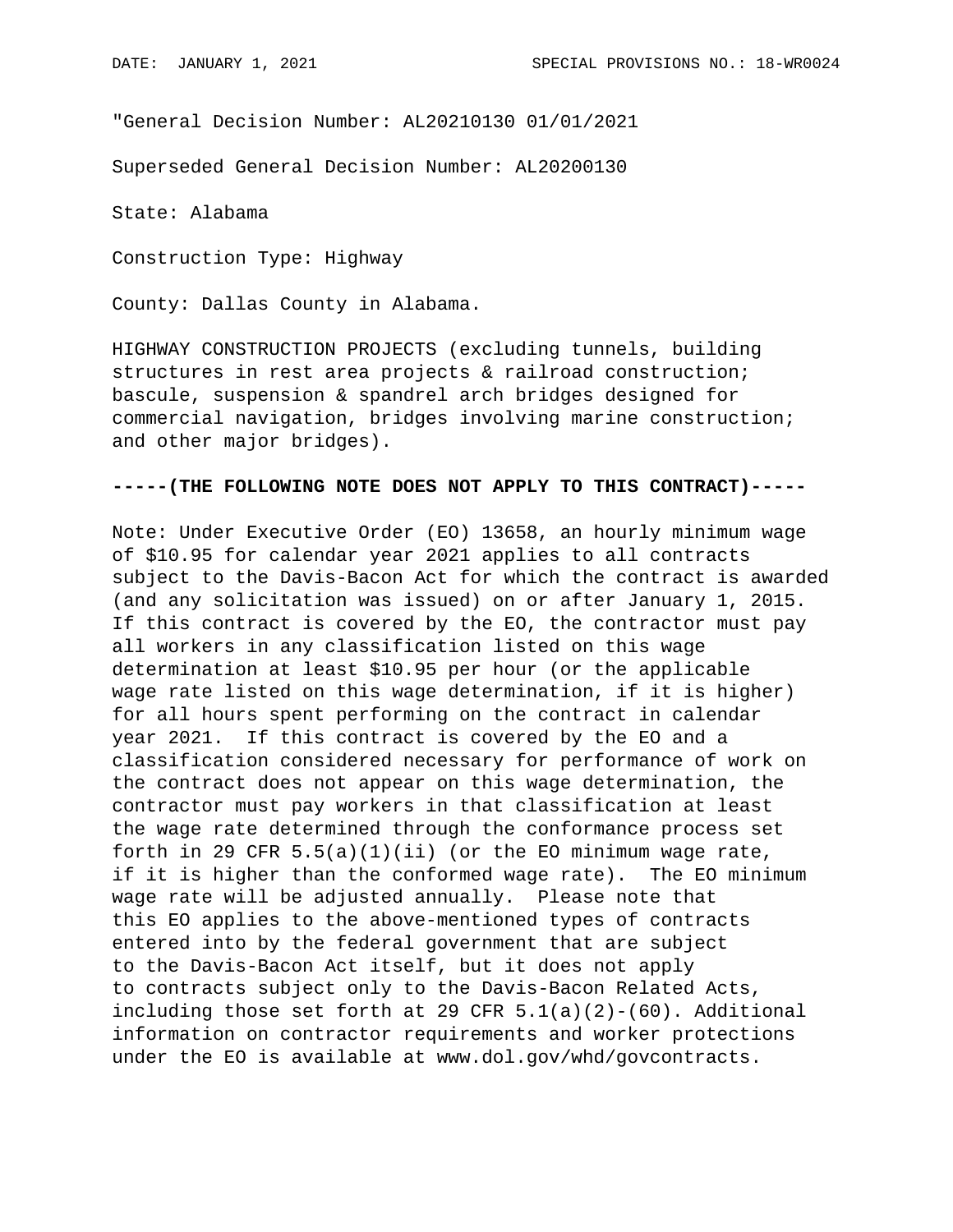"General Decision Number: AL20210130 01/01/2021

Superseded General Decision Number: AL20200130

State: Alabama

Construction Type: Highway

County: Dallas County in Alabama.

HIGHWAY CONSTRUCTION PROJECTS (excluding tunnels, building structures in rest area projects & railroad construction; bascule, suspension & spandrel arch bridges designed for commercial navigation, bridges involving marine construction; and other major bridges).

## **-----(THE FOLLOWING NOTE DOES NOT APPLY TO THIS CONTRACT)-----**

Note: Under Executive Order (EO) 13658, an hourly minimum wage of \$10.95 for calendar year 2021 applies to all contracts subject to the Davis-Bacon Act for which the contract is awarded (and any solicitation was issued) on or after January 1, 2015. If this contract is covered by the EO, the contractor must pay all workers in any classification listed on this wage determination at least \$10.95 per hour (or the applicable wage rate listed on this wage determination, if it is higher) for all hours spent performing on the contract in calendar year 2021. If this contract is covered by the EO and a classification considered necessary for performance of work on the contract does not appear on this wage determination, the contractor must pay workers in that classification at least the wage rate determined through the conformance process set forth in 29 CFR  $5.5(a)(1)(ii)$  (or the EO minimum wage rate, if it is higher than the conformed wage rate). The EO minimum wage rate will be adjusted annually. Please note that this EO applies to the above-mentioned types of contracts entered into by the federal government that are subject to the Davis-Bacon Act itself, but it does not apply to contracts subject only to the Davis-Bacon Related Acts, including those set forth at 29 CFR  $5.1(a)(2)-(60)$ . Additional information on contractor requirements and worker protections under the EO is available at www.dol.gov/whd/govcontracts.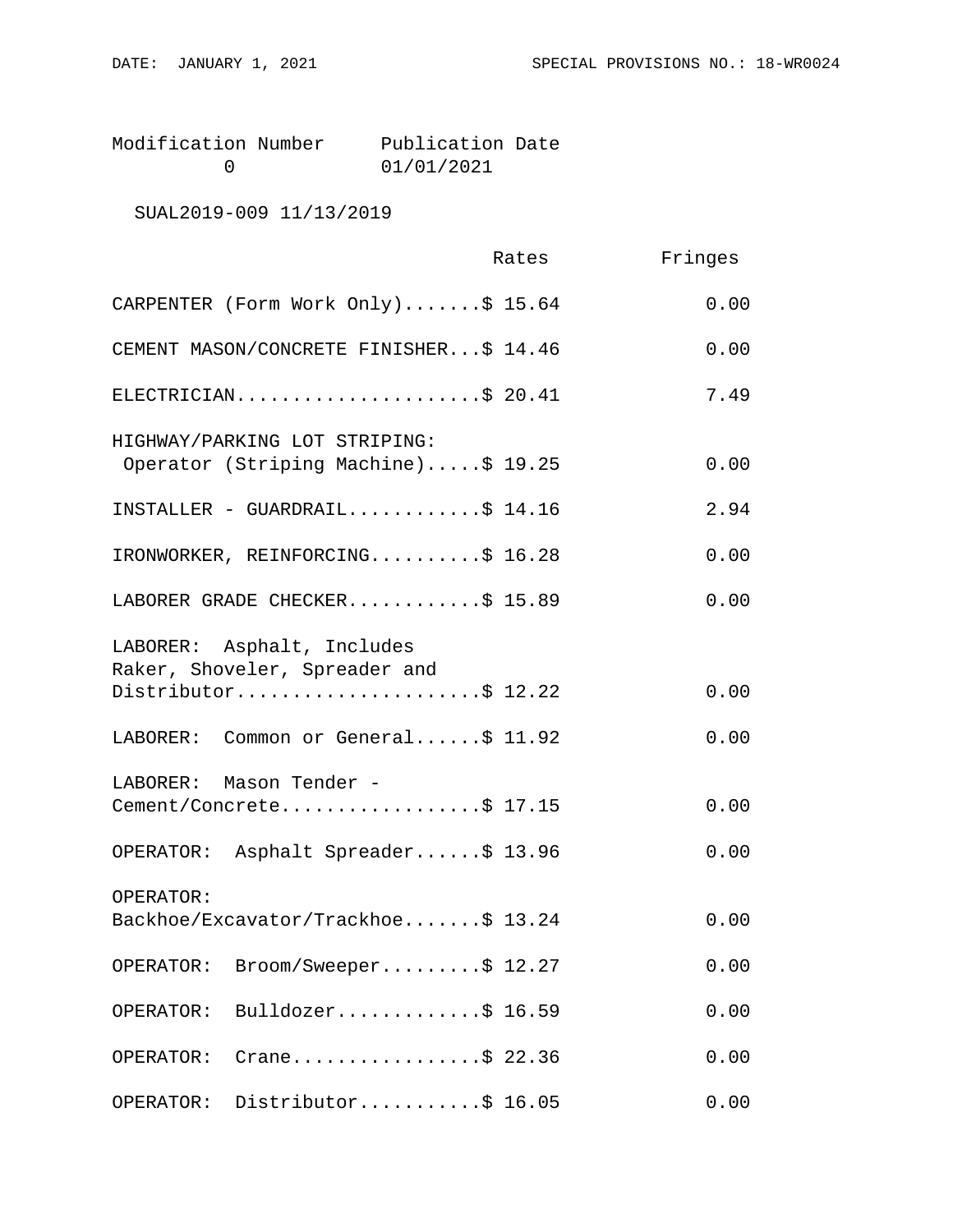| Modification Number | Publication Date |  |
|---------------------|------------------|--|
|                     | 01/01/2021       |  |

SUAL2019-009 11/13/2019

|                                                                      | Rates | Fringes |
|----------------------------------------------------------------------|-------|---------|
| CARPENTER (Form Work Only)\$ 15.64                                   |       | 0.00    |
| CEMENT MASON/CONCRETE FINISHER\$ 14.46                               |       | 0.00    |
| ELECTRICIAN\$ 20.41                                                  |       | 7.49    |
| HIGHWAY/PARKING LOT STRIPING:<br>Operator (Striping Machine)\$ 19.25 |       | 0.00    |
| INSTALLER - GUARDRAIL\$ 14.16                                        |       | 2.94    |
| IRONWORKER, REINFORCING\$ 16.28                                      |       | 0.00    |
| LABORER GRADE CHECKER\$ 15.89                                        |       | 0.00    |
| LABORER: Asphalt, Includes<br>Raker, Shoveler, Spreader and          |       |         |
| Distributor\$ 12.22                                                  |       | 0.00    |
| LABORER: Common or General\$ 11.92                                   |       | 0.00    |
| LABORER: Mason Tender -                                              |       |         |
| Cement/Concrete\$ 17.15                                              |       | 0.00    |
| OPERATOR: Asphalt Spreader\$ 13.96                                   |       | 0.00    |
| OPERATOR:                                                            |       |         |
| Backhoe/Excavator/Trackhoe\$ 13.24                                   |       | 0.00    |
| Broom/Sweeper\$ 12.27<br>OPERATOR:                                   |       | 0.00    |
| Bulldozer\$ 16.59<br>OPERATOR:                                       |       | 0.00    |
| Crane\$ 22.36<br>OPERATOR:                                           |       | 0.00    |
| Distributor\$ 16.05<br>OPERATOR:                                     |       | 0.00    |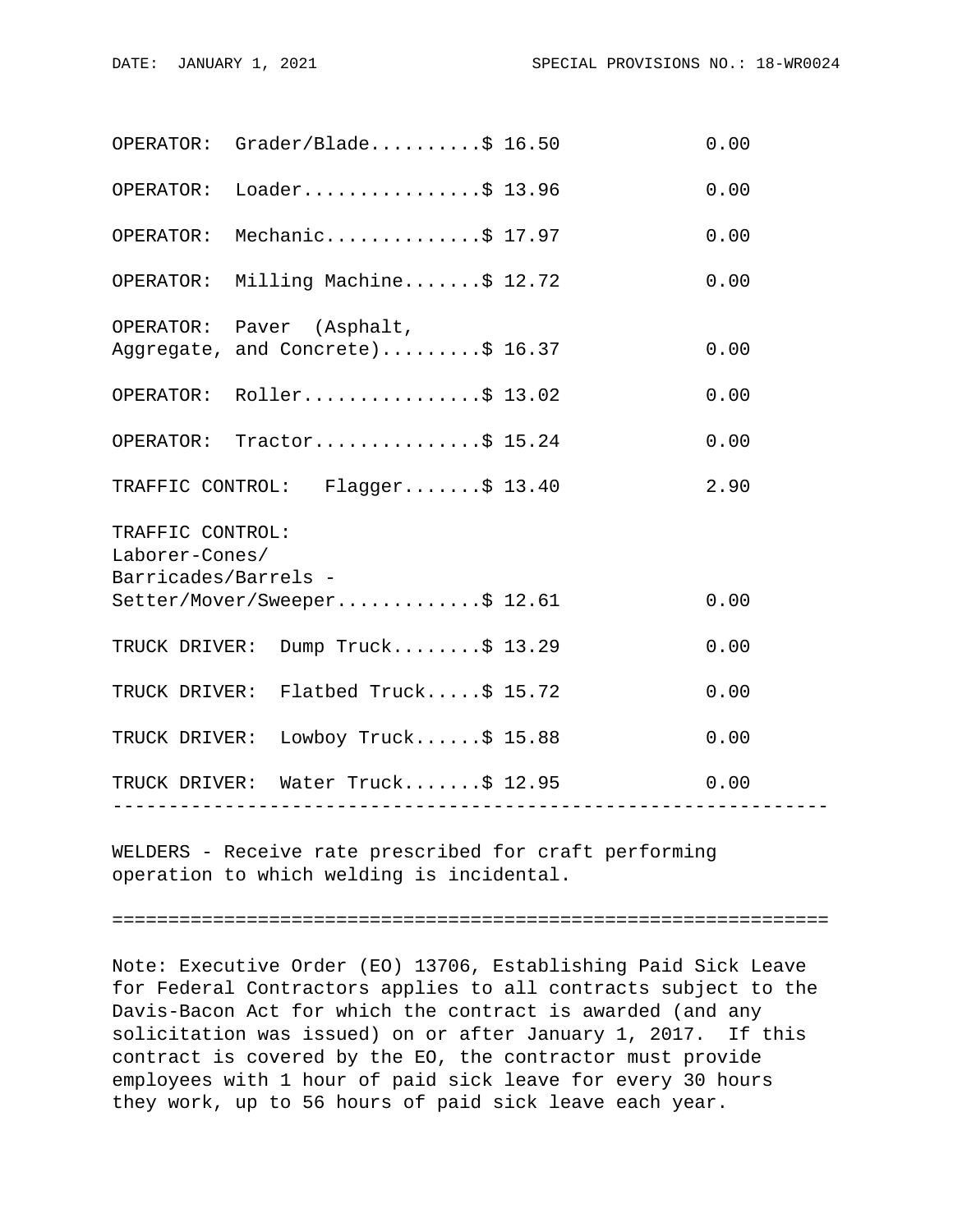|                                                            | OPERATOR: Grader/Black                                        |  | 0.00 |  |  |
|------------------------------------------------------------|---------------------------------------------------------------|--|------|--|--|
|                                                            | OPERATOR: Loader\$ 13.96                                      |  | 0.00 |  |  |
| OPERATOR:                                                  | Mechanic\$ 17.97                                              |  | 0.00 |  |  |
|                                                            | OPERATOR: Milling Machine\$ 12.72                             |  | 0.00 |  |  |
|                                                            | OPERATOR: Paver (Asphalt,<br>Aggregate, and Concrete)\$ 16.37 |  | 0.00 |  |  |
|                                                            | OPERATOR: Roller\$ 13.02                                      |  | 0.00 |  |  |
|                                                            | OPERATOR: Tractor\$ 15.24                                     |  | 0.00 |  |  |
|                                                            | TRAFFIC CONTROL: Flagger\$ 13.40                              |  | 2.90 |  |  |
| TRAFFIC CONTROL:<br>Laborer-Cones/<br>Barricades/Barrels - |                                                               |  |      |  |  |
|                                                            | Setter/Mover/Sweeper\$ 12.61                                  |  | 0.00 |  |  |
|                                                            | TRUCK DRIVER: Dump Truck\$ 13.29                              |  | 0.00 |  |  |
|                                                            | TRUCK DRIVER: Flatbed Truck\$ 15.72                           |  | 0.00 |  |  |
|                                                            | TRUCK DRIVER: Lowboy Truck\$ 15.88                            |  | 0.00 |  |  |
|                                                            | TRUCK DRIVER: Water Truck\$ 12.95                             |  | 0.00 |  |  |
|                                                            |                                                               |  |      |  |  |

WELDERS - Receive rate prescribed for craft performing operation to which welding is incidental.

================================================================

Note: Executive Order (EO) 13706, Establishing Paid Sick Leave for Federal Contractors applies to all contracts subject to the Davis-Bacon Act for which the contract is awarded (and any solicitation was issued) on or after January 1, 2017. If this contract is covered by the EO, the contractor must provide employees with 1 hour of paid sick leave for every 30 hours they work, up to 56 hours of paid sick leave each year.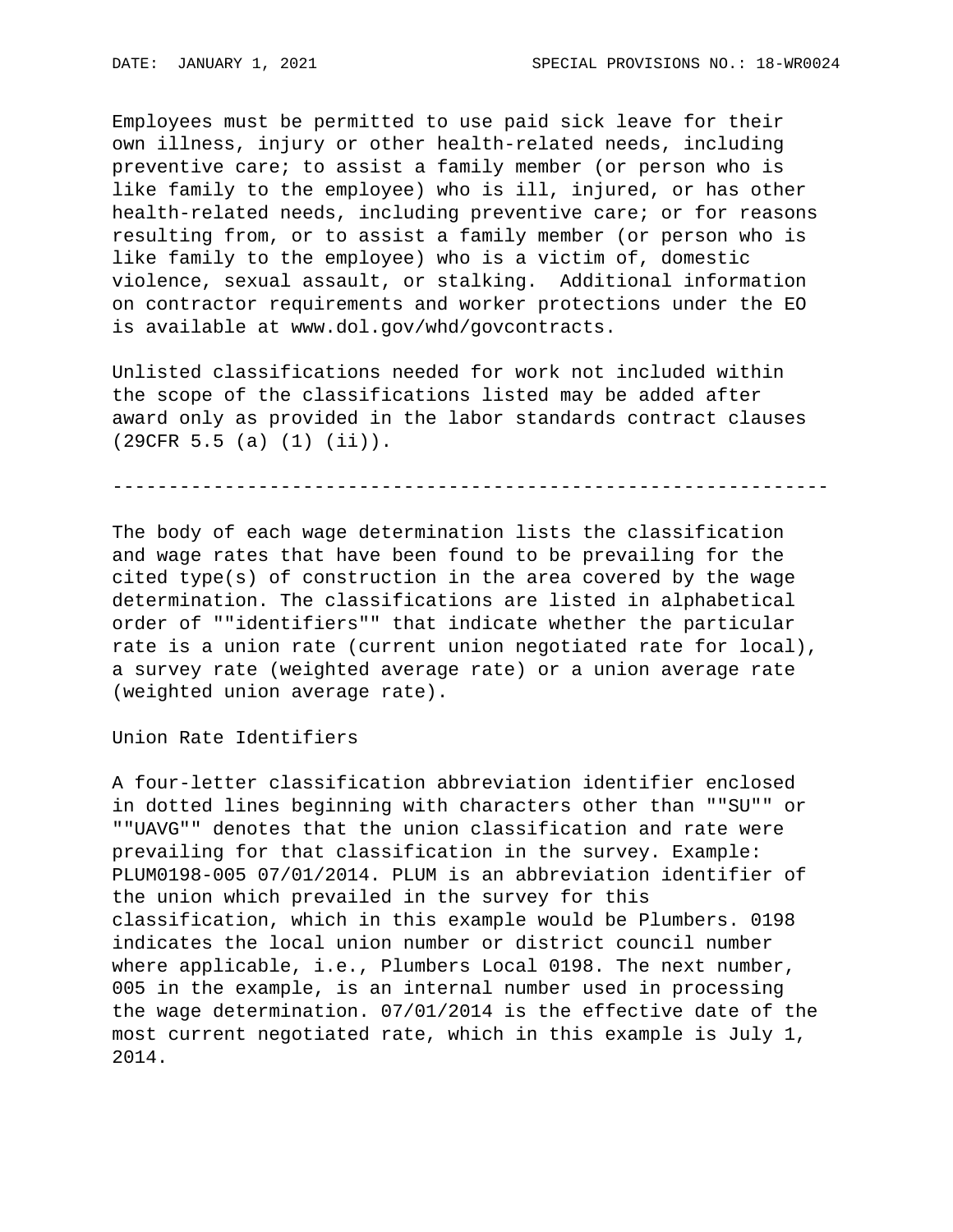Employees must be permitted to use paid sick leave for their own illness, injury or other health-related needs, including preventive care; to assist a family member (or person who is like family to the employee) who is ill, injured, or has other health-related needs, including preventive care; or for reasons resulting from, or to assist a family member (or person who is like family to the employee) who is a victim of, domestic violence, sexual assault, or stalking. Additional information on contractor requirements and worker protections under the EO is available at www.dol.gov/whd/govcontracts.

Unlisted classifications needed for work not included within the scope of the classifications listed may be added after award only as provided in the labor standards contract clauses (29CFR 5.5 (a) (1) (ii)).

----------------------------------------------------------------

The body of each wage determination lists the classification and wage rates that have been found to be prevailing for the cited type(s) of construction in the area covered by the wage determination. The classifications are listed in alphabetical order of ""identifiers"" that indicate whether the particular rate is a union rate (current union negotiated rate for local), a survey rate (weighted average rate) or a union average rate (weighted union average rate).

Union Rate Identifiers

A four-letter classification abbreviation identifier enclosed in dotted lines beginning with characters other than ""SU"" or ""UAVG"" denotes that the union classification and rate were prevailing for that classification in the survey. Example: PLUM0198-005 07/01/2014. PLUM is an abbreviation identifier of the union which prevailed in the survey for this classification, which in this example would be Plumbers. 0198 indicates the local union number or district council number where applicable, i.e., Plumbers Local 0198. The next number, 005 in the example, is an internal number used in processing the wage determination. 07/01/2014 is the effective date of the most current negotiated rate, which in this example is July 1, 2014.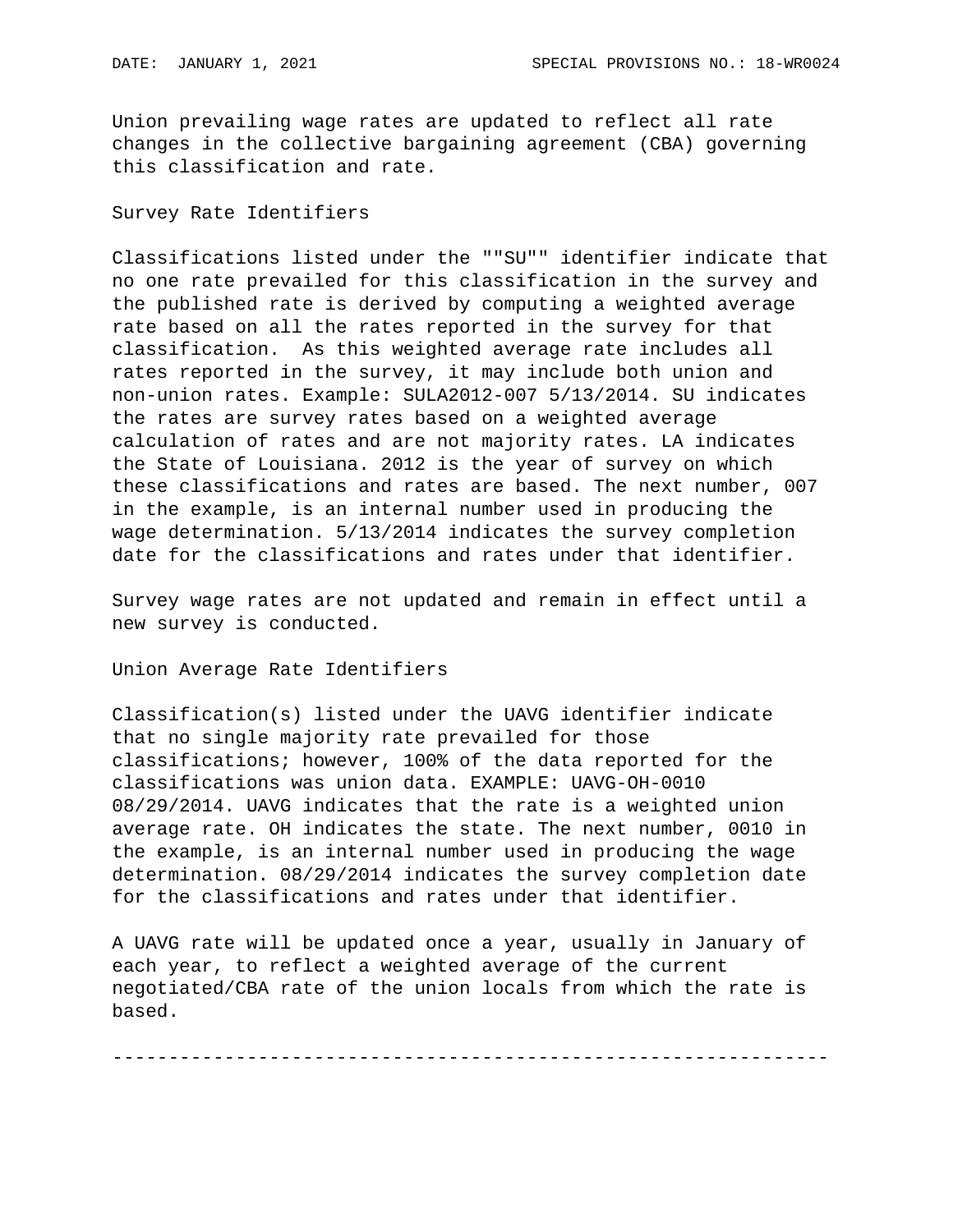Union prevailing wage rates are updated to reflect all rate changes in the collective bargaining agreement (CBA) governing this classification and rate.

## Survey Rate Identifiers

Classifications listed under the ""SU"" identifier indicate that no one rate prevailed for this classification in the survey and the published rate is derived by computing a weighted average rate based on all the rates reported in the survey for that classification. As this weighted average rate includes all rates reported in the survey, it may include both union and non-union rates. Example: SULA2012-007 5/13/2014. SU indicates the rates are survey rates based on a weighted average calculation of rates and are not majority rates. LA indicates the State of Louisiana. 2012 is the year of survey on which these classifications and rates are based. The next number, 007 in the example, is an internal number used in producing the wage determination. 5/13/2014 indicates the survey completion date for the classifications and rates under that identifier.

Survey wage rates are not updated and remain in effect until a new survey is conducted.

Union Average Rate Identifiers

Classification(s) listed under the UAVG identifier indicate that no single majority rate prevailed for those classifications; however, 100% of the data reported for the classifications was union data. EXAMPLE: UAVG-OH-0010 08/29/2014. UAVG indicates that the rate is a weighted union average rate. OH indicates the state. The next number, 0010 in the example, is an internal number used in producing the wage determination. 08/29/2014 indicates the survey completion date for the classifications and rates under that identifier.

A UAVG rate will be updated once a year, usually in January of each year, to reflect a weighted average of the current negotiated/CBA rate of the union locals from which the rate is based.

----------------------------------------------------------------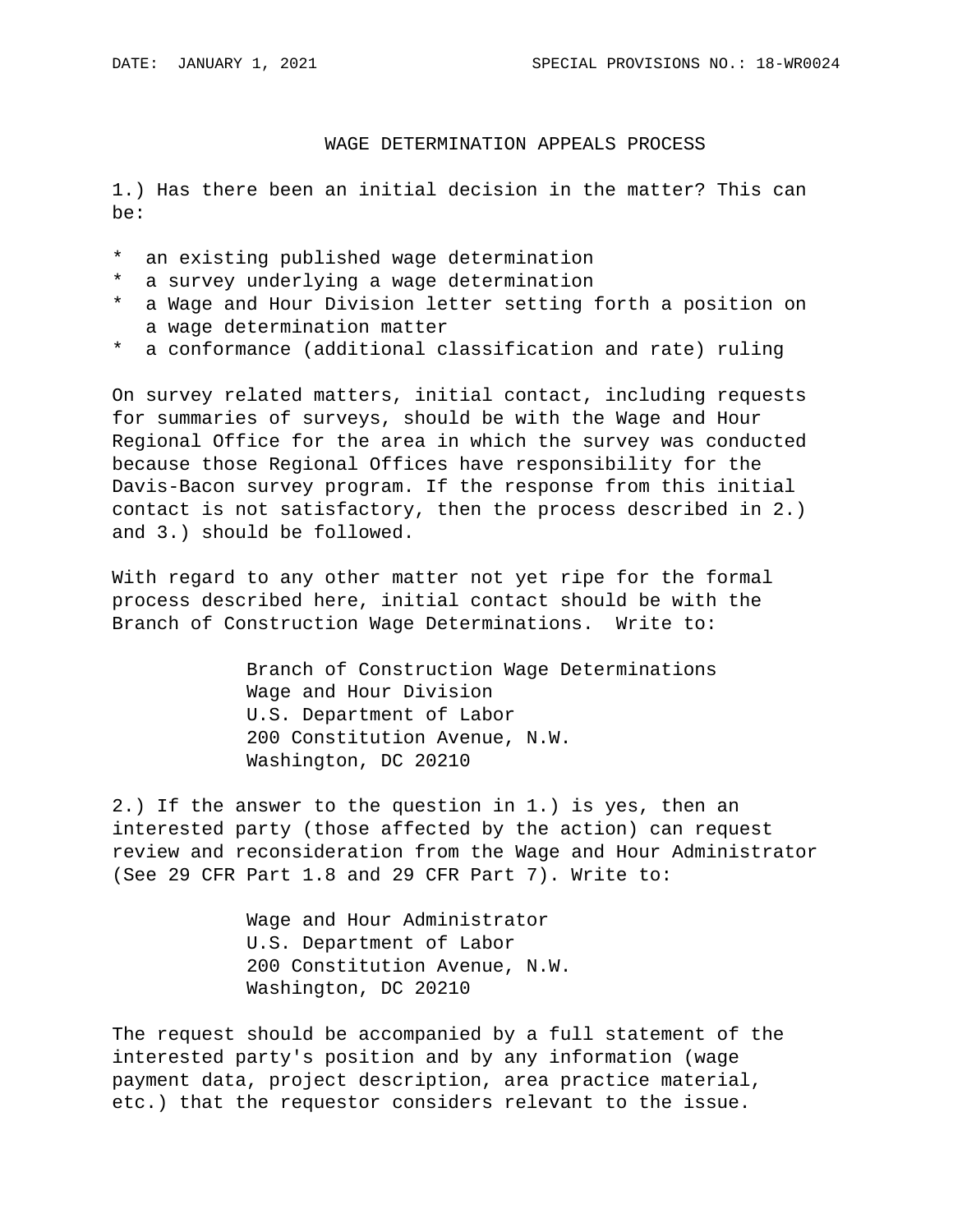## WAGE DETERMINATION APPEALS PROCESS

1.) Has there been an initial decision in the matter? This can be:

- \* an existing published wage determination
- \* a survey underlying a wage determination
- \* a Wage and Hour Division letter setting forth a position on a wage determination matter
- \* a conformance (additional classification and rate) ruling

On survey related matters, initial contact, including requests for summaries of surveys, should be with the Wage and Hour Regional Office for the area in which the survey was conducted because those Regional Offices have responsibility for the Davis-Bacon survey program. If the response from this initial contact is not satisfactory, then the process described in 2.) and 3.) should be followed.

With regard to any other matter not yet ripe for the formal process described here, initial contact should be with the Branch of Construction Wage Determinations. Write to:

> Branch of Construction Wage Determinations Wage and Hour Division U.S. Department of Labor 200 Constitution Avenue, N.W. Washington, DC 20210

2.) If the answer to the question in 1.) is yes, then an interested party (those affected by the action) can request review and reconsideration from the Wage and Hour Administrator (See 29 CFR Part 1.8 and 29 CFR Part 7). Write to:

> Wage and Hour Administrator U.S. Department of Labor 200 Constitution Avenue, N.W. Washington, DC 20210

The request should be accompanied by a full statement of the interested party's position and by any information (wage payment data, project description, area practice material, etc.) that the requestor considers relevant to the issue.